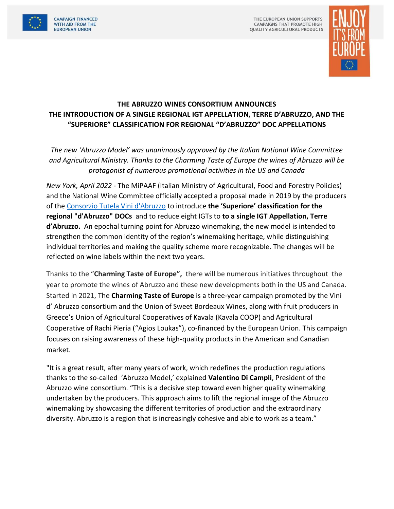

THE EUROPEAN UNION SUPPORTS **CAMPAIGNS THAT PROMOTE HIGH QUALITY AGRICULTURAL PRODUCTS** 



## **THE ABRUZZO WINES CONSORTIUM ANNOUNCES THE INTRODUCTION OF A SINGLE REGIONAL IGT APPELLATION, TERRE D'ABRUZZO, AND THE "SUPERIORE" CLASSIFICATION FOR REGIONAL "D'ABRUZZO" DOC APPELLATIONS**

*The new 'Abruzzo Model' was unanimously approved by the Italian National Wine Committee and Agricultural Ministry. Thanks to the Charming Taste of Europe the wines of Abruzzo will be protagonist of numerous promotional activities in the US and Canada* 

*New York, April 2022* - The MiPAAF (Italian Ministry of Agricultural, Food and Forestry Policies) and the National Wine Committee officially accepted a proposal made in 2019 by the producers of th[e Consorzio Tutela Vini d'Abruzzo](https://www.vinidabruzzo.it/en/) to introduce **the 'Superiore' classification for the regional "d'Abruzzo" DOCs** and to reduce eight IGTs to **to a single IGT Appellation, Terre d'Abruzzo.** An epochal turning point for Abruzzo winemaking, the new model is intended to strengthen the common identity of the region's winemaking heritage, while distinguishing individual territories and making the quality scheme more recognizable. The changes will be reflected on wine labels within the next two years.

Thanks to the "**Charming Taste of Europe",** there will be numerous initiatives throughout the year to promote the wines of Abruzzo and these new developments both in the US and Canada. Started in 2021, The **Charming Taste of Europe** is a three-year campaign promoted by the Vini d' Abruzzo consortium and the Union of Sweet Bordeaux Wines, along with fruit producers in Greece's Union of Agricultural Cooperatives of Kavala (Kavala COOP) and Agricultural Cooperative of Rachi Pieria ("Agios Loukas"), co-financed by the European Union. This campaign focuses on raising awareness of these high-quality products in the American and Canadian market.

"It is a great result, after many years of work, which redefines the production regulations thanks to the so-called 'Abruzzo Model,' explained **Valentino Di Campli**, President of the Abruzzo wine consortium. "This is a decisive step toward even higher quality winemaking undertaken by the producers. This approach aims to lift the regional image of the Abruzzo winemaking by showcasing the different territories of production and the extraordinary diversity. Abruzzo is a region that is increasingly cohesive and able to work as a team."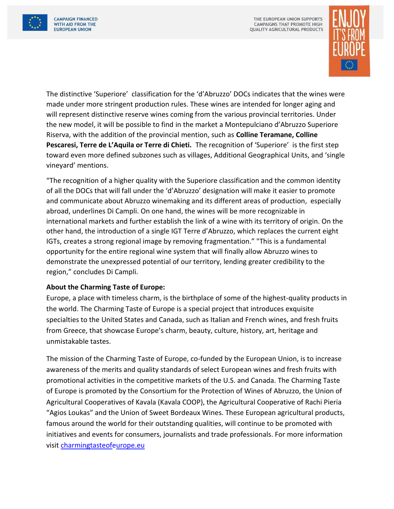



The distinctive 'Superiore' classification for the 'd'Abruzzo' DOCs indicates that the wines were made under more stringent production rules. These wines are intended for longer aging and will represent distinctive reserve wines coming from the various provincial territories. Under the new model, it will be possible to find in the market a Montepulciano d'Abruzzo Superiore Riserva, with the addition of the provincial mention, such as **Colline Teramane, Colline Pescaresi, Terre de L'Aquila or Terre di Chieti.** The recognition of 'Superiore' is the first step toward even more defined subzones such as villages, Additional Geographical Units, and 'single vineyard' mentions.

"The recognition of a higher quality with the Superiore classification and the common identity of all the DOCs that will fall under the 'd'Abruzzo' designation will make it easier to promote and communicate about Abruzzo winemaking and its different areas of production, especially abroad, underlines Di Campli. On one hand, the wines will be more recognizable in international markets and further establish the link of a wine with its territory of origin. On the other hand, the introduction of a single IGT Terre d'Abruzzo, which replaces the current eight IGTs, creates a strong regional image by removing fragmentation." "This is a fundamental opportunity for the entire regional wine system that will finally allow Abruzzo wines to demonstrate the unexpressed potential of our territory, lending greater credibility to the region," concludes Di Campli.

## **About the Charming Taste of Europe:**

Europe, a place with timeless charm, is the birthplace of some of the highest-quality products in the world. The Charming Taste of Europe is a special project that introduces exquisite specialties to the United States and Canada, such as Italian and French wines, and fresh fruits from Greece, that showcase Europe's charm, beauty, culture, history, art, heritage and unmistakable tastes.

The mission of the Charming Taste of Europe, co-funded by the European Union, is to increase awareness of the merits and quality standards of select European wines and fresh fruits with promotional activities in the competitive markets of the U.S. and Canada. The Charming Taste of Europe is promoted by the Consortium for the Protection of Wines of Abruzzo, the Union of Agricultural Cooperatives of Kavala (Kavala COOP), the Agricultural Cooperative of Rachi Pieria "Agios Loukas" and the Union of Sweet Bordeaux Wines. These European agricultural products, famous around the world for their outstanding qualities, will continue to be promoted with initiatives and events for consumers, journalists and trade professionals. For more information visit [charmingtasteofeurope.eu](https://www.charmingtasteofeurope.eu/en/)